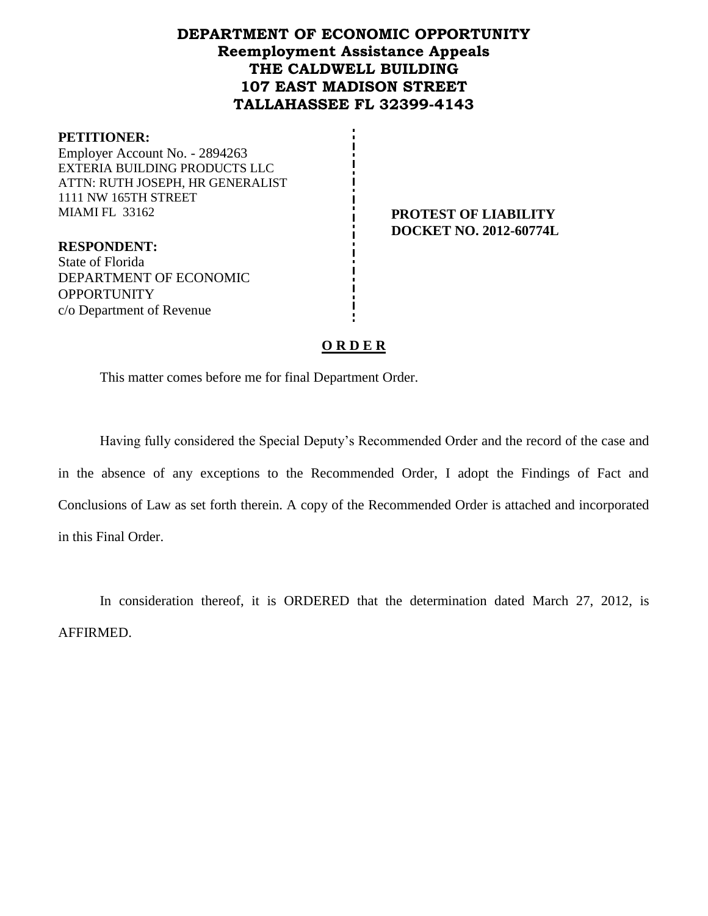# **DEPARTMENT OF ECONOMIC OPPORTUNITY Reemployment Assistance Appeals THE CALDWELL BUILDING 107 EAST MADISON STREET TALLAHASSEE FL 32399-4143**

## **PETITIONER:** Employer Account No. - 2894263 EXTERIA BUILDING PRODUCTS LLC ATTN: RUTH JOSEPH, HR GENERALIST 1111 NW 165TH STREET MIAMI FL 33162 **PROTEST OF LIABILITY**

**DOCKET NO. 2012-60774L**

**RESPONDENT:** State of Florida DEPARTMENT OF ECONOMIC **OPPORTUNITY** c/o Department of Revenue

## **O R D E R**

This matter comes before me for final Department Order.

Having fully considered the Special Deputy's Recommended Order and the record of the case and in the absence of any exceptions to the Recommended Order, I adopt the Findings of Fact and Conclusions of Law as set forth therein. A copy of the Recommended Order is attached and incorporated in this Final Order.

In consideration thereof, it is ORDERED that the determination dated March 27, 2012, is AFFIRMED.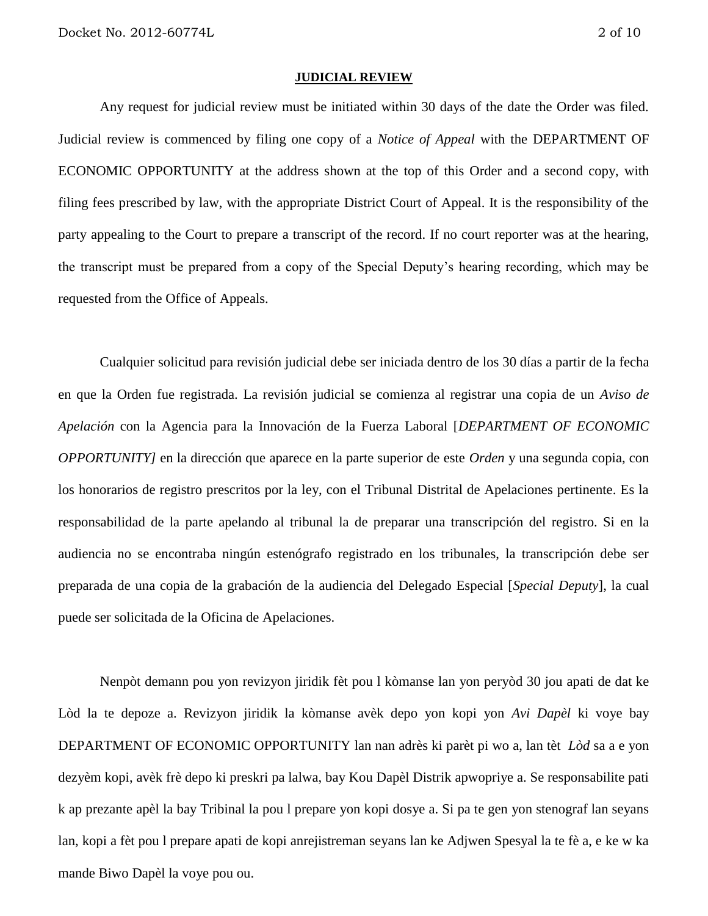#### **JUDICIAL REVIEW**

Any request for judicial review must be initiated within 30 days of the date the Order was filed. Judicial review is commenced by filing one copy of a *Notice of Appeal* with the DEPARTMENT OF ECONOMIC OPPORTUNITY at the address shown at the top of this Order and a second copy, with filing fees prescribed by law, with the appropriate District Court of Appeal. It is the responsibility of the party appealing to the Court to prepare a transcript of the record. If no court reporter was at the hearing, the transcript must be prepared from a copy of the Special Deputy's hearing recording, which may be requested from the Office of Appeals.

Cualquier solicitud para revisión judicial debe ser iniciada dentro de los 30 días a partir de la fecha en que la Orden fue registrada. La revisión judicial se comienza al registrar una copia de un *Aviso de Apelación* con la Agencia para la Innovación de la Fuerza Laboral [*DEPARTMENT OF ECONOMIC OPPORTUNITY]* en la dirección que aparece en la parte superior de este *Orden* y una segunda copia, con los honorarios de registro prescritos por la ley, con el Tribunal Distrital de Apelaciones pertinente. Es la responsabilidad de la parte apelando al tribunal la de preparar una transcripción del registro. Si en la audiencia no se encontraba ningún estenógrafo registrado en los tribunales, la transcripción debe ser preparada de una copia de la grabación de la audiencia del Delegado Especial [*Special Deputy*], la cual puede ser solicitada de la Oficina de Apelaciones.

Nenpòt demann pou yon revizyon jiridik fèt pou l kòmanse lan yon peryòd 30 jou apati de dat ke Lòd la te depoze a. Revizyon jiridik la kòmanse avèk depo yon kopi yon *Avi Dapèl* ki voye bay DEPARTMENT OF ECONOMIC OPPORTUNITY lan nan adrès ki parèt pi wo a, lan tèt *Lòd* sa a e yon dezyèm kopi, avèk frè depo ki preskri pa lalwa, bay Kou Dapèl Distrik apwopriye a. Se responsabilite pati k ap prezante apèl la bay Tribinal la pou l prepare yon kopi dosye a. Si pa te gen yon stenograf lan seyans lan, kopi a fèt pou l prepare apati de kopi anrejistreman seyans lan ke Adjwen Spesyal la te fè a, e ke w ka mande Biwo Dapèl la voye pou ou.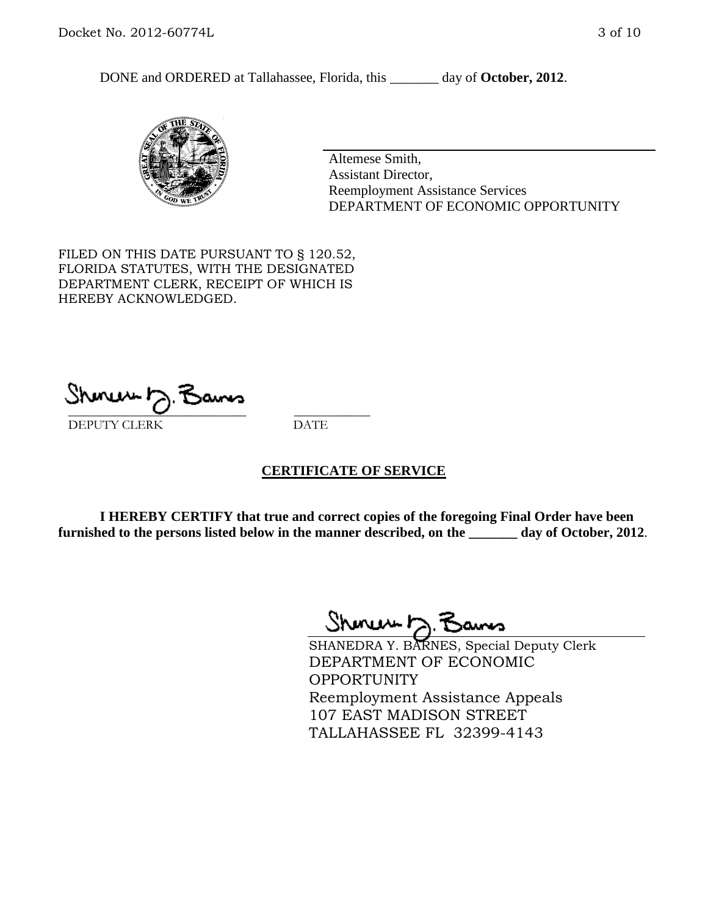DONE and ORDERED at Tallahassee, Florida, this day of October, 2012.



Altemese Smith, Assistant Director, Reemployment Assistance Services DEPARTMENT OF ECONOMIC OPPORTUNITY

FILED ON THIS DATE PURSUANT TO § 120.52, FLORIDA STATUTES, WITH THE DESIGNATED DEPARTMENT CLERK, RECEIPT OF WHICH IS HEREBY ACKNOWLEDGED.

 $\mathcal{S}$ hmun $\mapsto$   $\mathcal{S}$ amo DEPUTY CLERK DATE

## **CERTIFICATE OF SERVICE**

**I HEREBY CERTIFY that true and correct copies of the foregoing Final Order have been furnished to the persons listed below in the manner described, on the \_\_\_\_\_\_\_ day of October, 2012**.

Shmun 12.Z

SHANEDRA Y. BARNES, Special Deputy Clerk DEPARTMENT OF ECONOMIC OPPORTUNITY Reemployment Assistance Appeals 107 EAST MADISON STREET TALLAHASSEE FL 32399-4143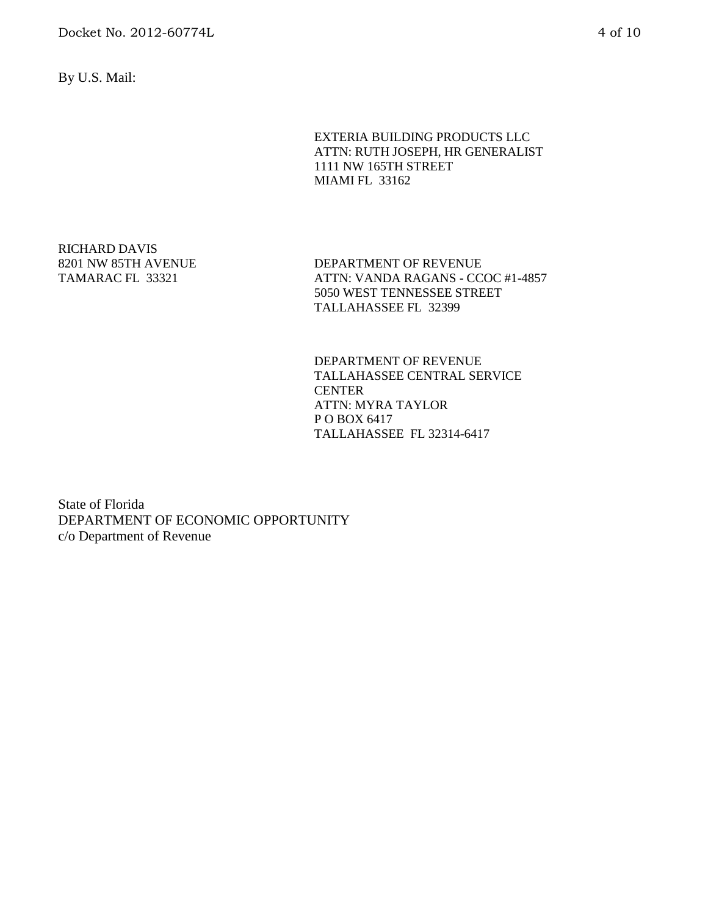By U.S. Mail:

EXTERIA BUILDING PRODUCTS LLC ATTN: RUTH JOSEPH, HR GENERALIST 1111 NW 165TH STREET MIAMI FL 33162

RICHARD DAVIS 8201 NW 85TH AVENUE TAMARAC FL 33321

DEPARTMENT OF REVENUE ATTN: VANDA RAGANS - CCOC #1-4857 5050 WEST TENNESSEE STREET TALLAHASSEE FL 32399

DEPARTMENT OF REVENUE TALLAHASSEE CENTRAL SERVICE **CENTER** ATTN: MYRA TAYLOR P O BOX 6417 TALLAHASSEE FL 32314-6417

State of Florida DEPARTMENT OF ECONOMIC OPPORTUNITY c/o Department of Revenue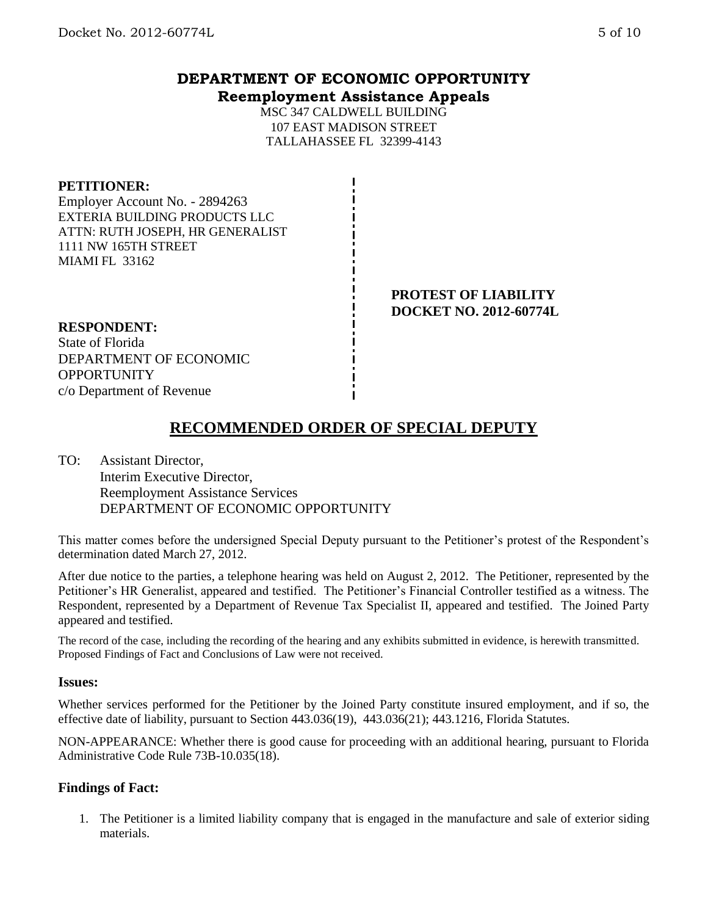## **DEPARTMENT OF ECONOMIC OPPORTUNITY Reemployment Assistance Appeals**

MSC 347 CALDWELL BUILDING 107 EAST MADISON STREET TALLAHASSEE FL 32399-4143

### **PETITIONER:**

Employer Account No. - 2894263 EXTERIA BUILDING PRODUCTS LLC ATTN: RUTH JOSEPH, HR GENERALIST 1111 NW 165TH STREET MIAMI FL 33162

> **PROTEST OF LIABILITY DOCKET NO. 2012-60774L**

### **RESPONDENT:**

State of Florida DEPARTMENT OF ECONOMIC **OPPORTUNITY** c/o Department of Revenue

# **RECOMMENDED ORDER OF SPECIAL DEPUTY**

TO: Assistant Director, Interim Executive Director, Reemployment Assistance Services DEPARTMENT OF ECONOMIC OPPORTUNITY

This matter comes before the undersigned Special Deputy pursuant to the Petitioner's protest of the Respondent's determination dated March 27, 2012.

After due notice to the parties, a telephone hearing was held on August 2, 2012. The Petitioner, represented by the Petitioner's HR Generalist, appeared and testified. The Petitioner's Financial Controller testified as a witness. The Respondent, represented by a Department of Revenue Tax Specialist II, appeared and testified. The Joined Party appeared and testified.

The record of the case, including the recording of the hearing and any exhibits submitted in evidence, is herewith transmitted. Proposed Findings of Fact and Conclusions of Law were not received.

#### **Issues:**

Whether services performed for the Petitioner by the Joined Party constitute insured employment, and if so, the effective date of liability, pursuant to Section 443.036(19), 443.036(21); 443.1216, Florida Statutes.

NON-APPEARANCE: Whether there is good cause for proceeding with an additional hearing, pursuant to Florida Administrative Code Rule 73B-10.035(18).

#### **Findings of Fact:**

1. The Petitioner is a limited liability company that is engaged in the manufacture and sale of exterior siding materials.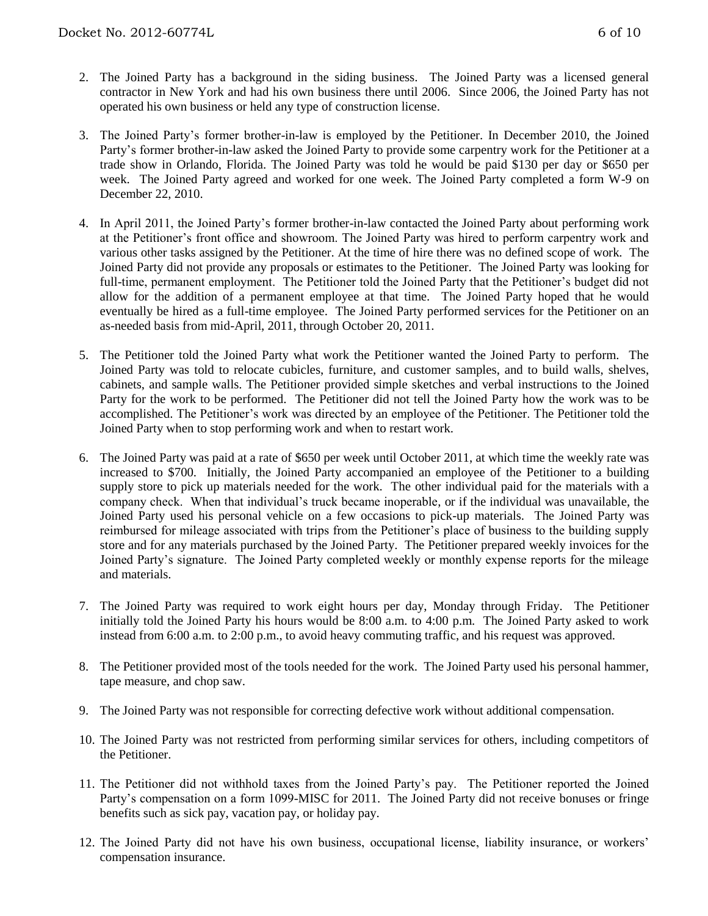- 2. The Joined Party has a background in the siding business. The Joined Party was a licensed general contractor in New York and had his own business there until 2006. Since 2006, the Joined Party has not operated his own business or held any type of construction license.
- 3. The Joined Party's former brother-in-law is employed by the Petitioner. In December 2010, the Joined Party's former brother-in-law asked the Joined Party to provide some carpentry work for the Petitioner at a trade show in Orlando, Florida. The Joined Party was told he would be paid \$130 per day or \$650 per week. The Joined Party agreed and worked for one week. The Joined Party completed a form W-9 on December 22, 2010.
- 4. In April 2011, the Joined Party's former brother-in-law contacted the Joined Party about performing work at the Petitioner's front office and showroom. The Joined Party was hired to perform carpentry work and various other tasks assigned by the Petitioner. At the time of hire there was no defined scope of work. The Joined Party did not provide any proposals or estimates to the Petitioner. The Joined Party was looking for full-time, permanent employment. The Petitioner told the Joined Party that the Petitioner's budget did not allow for the addition of a permanent employee at that time. The Joined Party hoped that he would eventually be hired as a full-time employee. The Joined Party performed services for the Petitioner on an as-needed basis from mid-April, 2011, through October 20, 2011.
- 5. The Petitioner told the Joined Party what work the Petitioner wanted the Joined Party to perform. The Joined Party was told to relocate cubicles, furniture, and customer samples, and to build walls, shelves, cabinets, and sample walls. The Petitioner provided simple sketches and verbal instructions to the Joined Party for the work to be performed. The Petitioner did not tell the Joined Party how the work was to be accomplished. The Petitioner's work was directed by an employee of the Petitioner. The Petitioner told the Joined Party when to stop performing work and when to restart work.
- 6. The Joined Party was paid at a rate of \$650 per week until October 2011, at which time the weekly rate was increased to \$700. Initially, the Joined Party accompanied an employee of the Petitioner to a building supply store to pick up materials needed for the work. The other individual paid for the materials with a company check. When that individual's truck became inoperable, or if the individual was unavailable, the Joined Party used his personal vehicle on a few occasions to pick-up materials. The Joined Party was reimbursed for mileage associated with trips from the Petitioner's place of business to the building supply store and for any materials purchased by the Joined Party. The Petitioner prepared weekly invoices for the Joined Party's signature. The Joined Party completed weekly or monthly expense reports for the mileage and materials.
- 7. The Joined Party was required to work eight hours per day, Monday through Friday. The Petitioner initially told the Joined Party his hours would be 8:00 a.m. to 4:00 p.m. The Joined Party asked to work instead from 6:00 a.m. to 2:00 p.m., to avoid heavy commuting traffic, and his request was approved.
- 8. The Petitioner provided most of the tools needed for the work. The Joined Party used his personal hammer, tape measure, and chop saw.
- 9. The Joined Party was not responsible for correcting defective work without additional compensation.
- 10. The Joined Party was not restricted from performing similar services for others, including competitors of the Petitioner.
- 11. The Petitioner did not withhold taxes from the Joined Party's pay. The Petitioner reported the Joined Party's compensation on a form 1099-MISC for 2011. The Joined Party did not receive bonuses or fringe benefits such as sick pay, vacation pay, or holiday pay.
- 12. The Joined Party did not have his own business, occupational license, liability insurance, or workers' compensation insurance.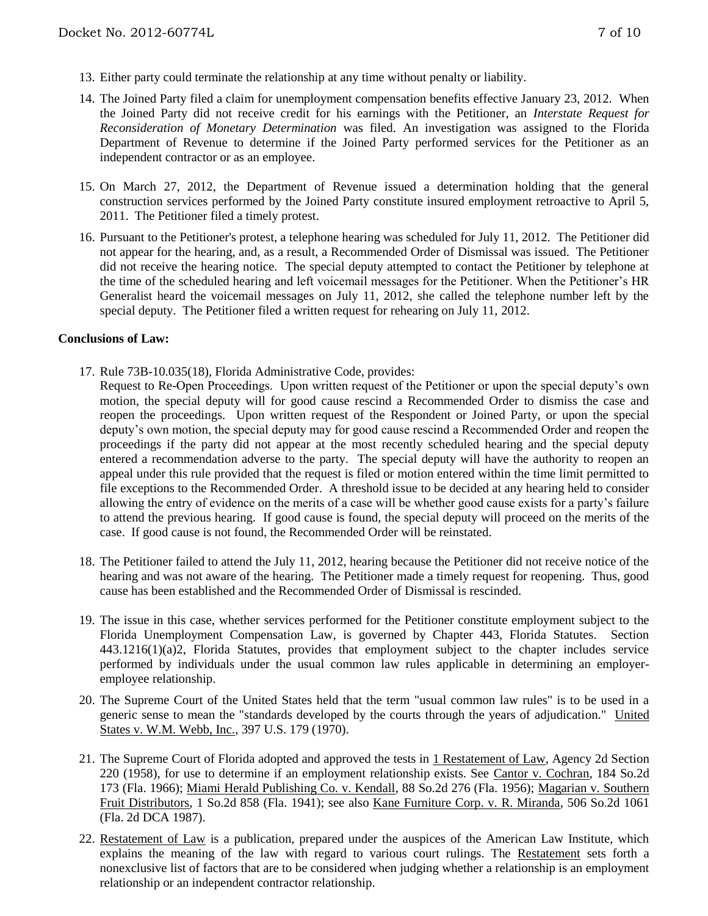- 13. Either party could terminate the relationship at any time without penalty or liability.
- 14. The Joined Party filed a claim for unemployment compensation benefits effective January 23, 2012. When the Joined Party did not receive credit for his earnings with the Petitioner, an *Interstate Request for Reconsideration of Monetary Determination* was filed. An investigation was assigned to the Florida Department of Revenue to determine if the Joined Party performed services for the Petitioner as an independent contractor or as an employee.
- 15. On March 27, 2012, the Department of Revenue issued a determination holding that the general construction services performed by the Joined Party constitute insured employment retroactive to April 5, 2011. The Petitioner filed a timely protest.
- 16. Pursuant to the Petitioner's protest, a telephone hearing was scheduled for July 11, 2012. The Petitioner did not appear for the hearing, and, as a result, a Recommended Order of Dismissal was issued. The Petitioner did not receive the hearing notice. The special deputy attempted to contact the Petitioner by telephone at the time of the scheduled hearing and left voicemail messages for the Petitioner. When the Petitioner's HR Generalist heard the voicemail messages on July 11, 2012, she called the telephone number left by the special deputy. The Petitioner filed a written request for rehearing on July 11, 2012.

#### **Conclusions of Law:**

- 17. Rule 73B-10.035(18), Florida Administrative Code, provides:
	- Request to Re-Open Proceedings. Upon written request of the Petitioner or upon the special deputy's own motion, the special deputy will for good cause rescind a Recommended Order to dismiss the case and reopen the proceedings. Upon written request of the Respondent or Joined Party, or upon the special deputy's own motion, the special deputy may for good cause rescind a Recommended Order and reopen the proceedings if the party did not appear at the most recently scheduled hearing and the special deputy entered a recommendation adverse to the party. The special deputy will have the authority to reopen an appeal under this rule provided that the request is filed or motion entered within the time limit permitted to file exceptions to the Recommended Order. A threshold issue to be decided at any hearing held to consider allowing the entry of evidence on the merits of a case will be whether good cause exists for a party's failure to attend the previous hearing. If good cause is found, the special deputy will proceed on the merits of the case. If good cause is not found, the Recommended Order will be reinstated.
- 18. The Petitioner failed to attend the July 11, 2012, hearing because the Petitioner did not receive notice of the hearing and was not aware of the hearing. The Petitioner made a timely request for reopening. Thus, good cause has been established and the Recommended Order of Dismissal is rescinded.
- 19. The issue in this case, whether services performed for the Petitioner constitute employment subject to the Florida Unemployment Compensation Law, is governed by Chapter 443, Florida Statutes. Section 443.1216(1)(a)2, Florida Statutes, provides that employment subject to the chapter includes service performed by individuals under the usual common law rules applicable in determining an employeremployee relationship.
- 20. The Supreme Court of the United States held that the term "usual common law rules" is to be used in a generic sense to mean the "standards developed by the courts through the years of adjudication." United States v. W.M. Webb, Inc., 397 U.S. 179 (1970).
- 21. The Supreme Court of Florida adopted and approved the tests in 1 Restatement of Law, Agency 2d Section 220 (1958), for use to determine if an employment relationship exists. See Cantor v. Cochran, 184 So.2d 173 (Fla. 1966); Miami Herald Publishing Co. v. Kendall, 88 So.2d 276 (Fla. 1956); Magarian v. Southern Fruit Distributors, 1 So.2d 858 (Fla. 1941); see also Kane Furniture Corp. v. R. Miranda, 506 So.2d 1061 (Fla. 2d DCA 1987).
- 22. Restatement of Law is a publication, prepared under the auspices of the American Law Institute, which explains the meaning of the law with regard to various court rulings. The Restatement sets forth a nonexclusive list of factors that are to be considered when judging whether a relationship is an employment relationship or an independent contractor relationship.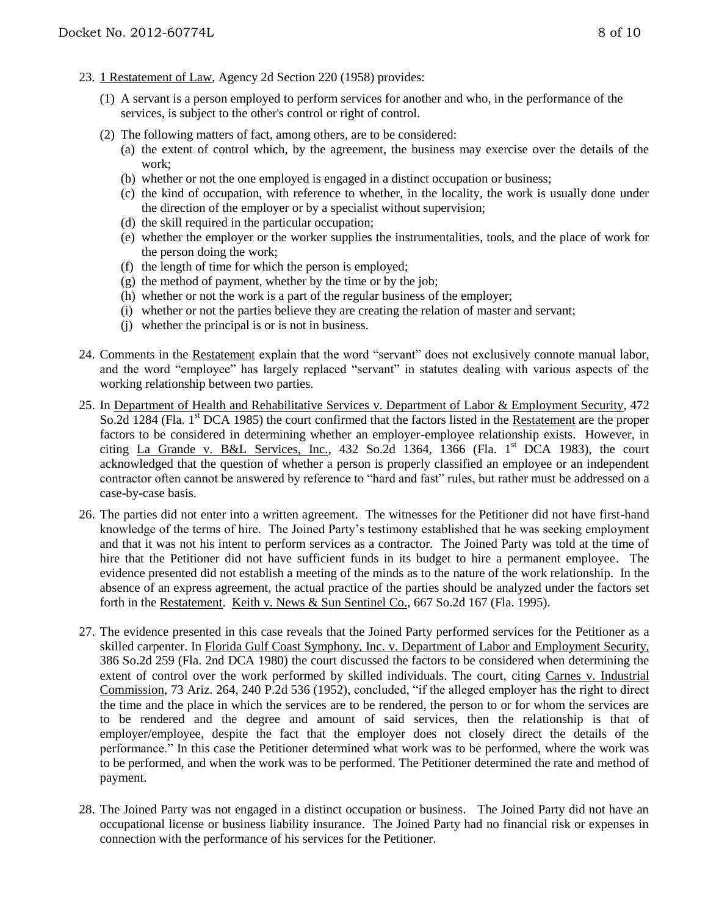- 23. 1 Restatement of Law, Agency 2d Section 220 (1958) provides:
	- (1) A servant is a person employed to perform services for another and who, in the performance of the services, is subject to the other's control or right of control.
	- (2) The following matters of fact, among others, are to be considered:
		- (a) the extent of control which, by the agreement, the business may exercise over the details of the work;
		- (b) whether or not the one employed is engaged in a distinct occupation or business;
		- (c) the kind of occupation, with reference to whether, in the locality, the work is usually done under the direction of the employer or by a specialist without supervision;
		- (d) the skill required in the particular occupation;
		- (e) whether the employer or the worker supplies the instrumentalities, tools, and the place of work for the person doing the work;
		- (f) the length of time for which the person is employed;
		- $(g)$  the method of payment, whether by the time or by the job;
		- (h) whether or not the work is a part of the regular business of the employer;
		- (i) whether or not the parties believe they are creating the relation of master and servant;
		- (j) whether the principal is or is not in business.
- 24. Comments in the Restatement explain that the word "servant" does not exclusively connote manual labor, and the word "employee" has largely replaced "servant" in statutes dealing with various aspects of the working relationship between two parties.
- 25. In Department of Health and Rehabilitative Services v. Department of Labor & Employment Security, 472 So.2d 1284 (Fla. 1<sup>st</sup> DCA 1985) the court confirmed that the factors listed in the Restatement are the proper factors to be considered in determining whether an employer-employee relationship exists. However, in citing La Grande v. B&L Services, Inc., 432 So.2d 1364, 1366 (Fla. 1st DCA 1983), the court acknowledged that the question of whether a person is properly classified an employee or an independent contractor often cannot be answered by reference to "hard and fast" rules, but rather must be addressed on a case-by-case basis.
- 26. The parties did not enter into a written agreement. The witnesses for the Petitioner did not have first-hand knowledge of the terms of hire. The Joined Party's testimony established that he was seeking employment and that it was not his intent to perform services as a contractor. The Joined Party was told at the time of hire that the Petitioner did not have sufficient funds in its budget to hire a permanent employee. The evidence presented did not establish a meeting of the minds as to the nature of the work relationship. In the absence of an express agreement, the actual practice of the parties should be analyzed under the factors set forth in the Restatement. Keith v. News & Sun Sentinel Co., 667 So.2d 167 (Fla. 1995).
- 27. The evidence presented in this case reveals that the Joined Party performed services for the Petitioner as a skilled carpenter. In Florida Gulf Coast Symphony, Inc. v. Department of Labor and Employment Security, 386 So.2d 259 (Fla. 2nd DCA 1980) the court discussed the factors to be considered when determining the extent of control over the work performed by skilled individuals. The court, citing Carnes v. Industrial Commission, 73 Ariz. 264, 240 P.2d 536 (1952), concluded, "if the alleged employer has the right to direct the time and the place in which the services are to be rendered, the person to or for whom the services are to be rendered and the degree and amount of said services, then the relationship is that of employer/employee, despite the fact that the employer does not closely direct the details of the performance." In this case the Petitioner determined what work was to be performed, where the work was to be performed, and when the work was to be performed. The Petitioner determined the rate and method of payment.
- 28. The Joined Party was not engaged in a distinct occupation or business. The Joined Party did not have an occupational license or business liability insurance. The Joined Party had no financial risk or expenses in connection with the performance of his services for the Petitioner.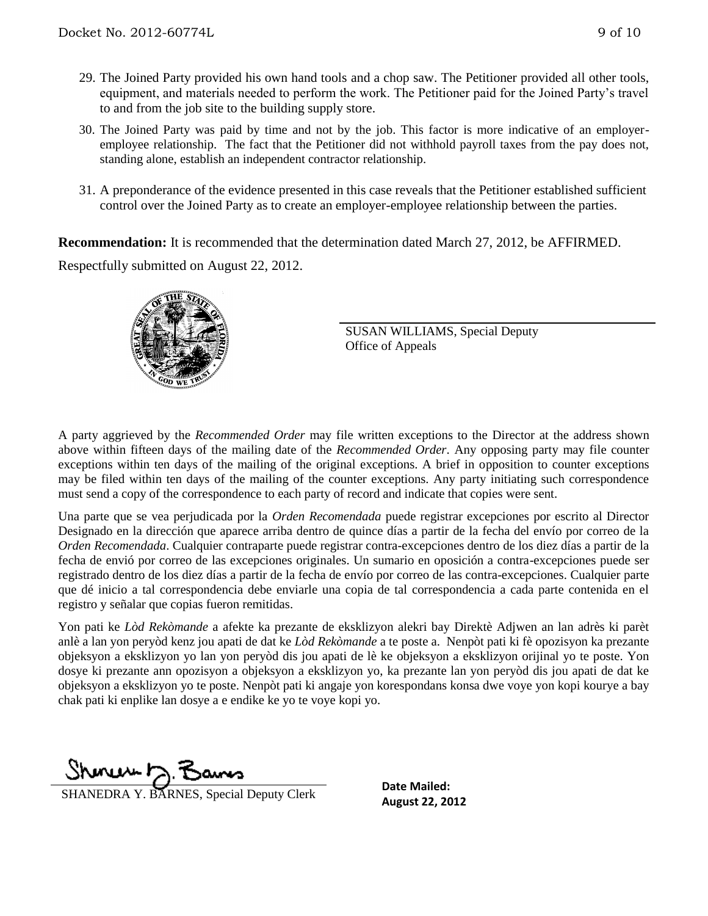- 29. The Joined Party provided his own hand tools and a chop saw. The Petitioner provided all other tools, equipment, and materials needed to perform the work. The Petitioner paid for the Joined Party's travel to and from the job site to the building supply store.
- 30. The Joined Party was paid by time and not by the job. This factor is more indicative of an employeremployee relationship. The fact that the Petitioner did not withhold payroll taxes from the pay does not, standing alone, establish an independent contractor relationship.
- 31. A preponderance of the evidence presented in this case reveals that the Petitioner established sufficient control over the Joined Party as to create an employer-employee relationship between the parties.

**Recommendation:** It is recommended that the determination dated March 27, 2012, be AFFIRMED. Respectfully submitted on August 22, 2012.



SUSAN WILLIAMS, Special Deputy Office of Appeals

A party aggrieved by the *Recommended Order* may file written exceptions to the Director at the address shown above within fifteen days of the mailing date of the *Recommended Order*. Any opposing party may file counter exceptions within ten days of the mailing of the original exceptions. A brief in opposition to counter exceptions may be filed within ten days of the mailing of the counter exceptions. Any party initiating such correspondence must send a copy of the correspondence to each party of record and indicate that copies were sent.

Una parte que se vea perjudicada por la *Orden Recomendada* puede registrar excepciones por escrito al Director Designado en la dirección que aparece arriba dentro de quince días a partir de la fecha del envío por correo de la *Orden Recomendada*. Cualquier contraparte puede registrar contra-excepciones dentro de los diez días a partir de la fecha de envió por correo de las excepciones originales. Un sumario en oposición a contra-excepciones puede ser registrado dentro de los diez días a partir de la fecha de envío por correo de las contra-excepciones. Cualquier parte que dé inicio a tal correspondencia debe enviarle una copia de tal correspondencia a cada parte contenida en el registro y señalar que copias fueron remitidas.

Yon pati ke *Lòd Rekòmande* a afekte ka prezante de eksklizyon alekri bay Direktè Adjwen an lan adrès ki parèt anlè a lan yon peryòd kenz jou apati de dat ke *Lòd Rekòmande* a te poste a. Nenpòt pati ki fè opozisyon ka prezante objeksyon a eksklizyon yo lan yon peryòd dis jou apati de lè ke objeksyon a eksklizyon orijinal yo te poste. Yon dosye ki prezante ann opozisyon a objeksyon a eksklizyon yo, ka prezante lan yon peryòd dis jou apati de dat ke objeksyon a eksklizyon yo te poste. Nenpòt pati ki angaje yon korespondans konsa dwe voye yon kopi kourye a bay chak pati ki enplike lan dosye a e endike ke yo te voye kopi yo.

Shinuw D.F

**SHANEDRA Y. BARNES, Special Deputy Clerk August 22, 2012** 

**Date Mailed:**